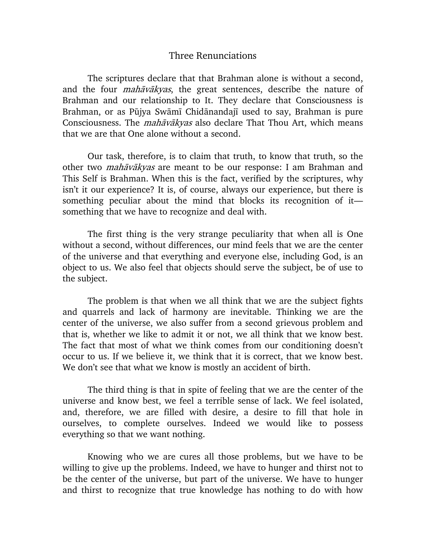## Three Renunciations

The scriptures declare that that Brahman alone is without a second, and the four *mahāvākyas*, the great sentences, describe the nature of Brahman and our relationship to It. They declare that Consciousness is Brahman, or as Pūjya Swāmī Chidānandajī used to say, Brahman is pure Consciousness. The *mahāvākyas* also declare That Thou Art, which means that we are that One alone without a second.

Our task, therefore, is to claim that truth, to know that truth, so the other two *mahāvākyas* are meant to be our response: I am Brahman and This Self is Brahman. When this is the fact, verified by the scriptures, why isn't it our experience? It is, of course, always our experience, but there is something peculiar about the mind that blocks its recognition of it something that we have to recognize and deal with.

The first thing is the very strange peculiarity that when all is One without a second, without differences, our mind feels that we are the center of the universe and that everything and everyone else, including God, is an object to us. We also feel that objects should serve the subject, be of use to the subject.

The problem is that when we all think that we are the subject fights and quarrels and lack of harmony are inevitable. Thinking we are the center of the universe, we also suffer from a second grievous problem and that is, whether we like to admit it or not, we all think that we know best. The fact that most of what we think comes from our conditioning doesn't occur to us. If we believe it, we think that it is correct, that we know best. We don't see that what we know is mostly an accident of birth.

The third thing is that in spite of feeling that we are the center of the universe and know best, we feel a terrible sense of lack. We feel isolated, and, therefore, we are filled with desire, a desire to fill that hole in ourselves, to complete ourselves. Indeed we would like to possess everything so that we want nothing.

Knowing who we are cures all those problems, but we have to be willing to give up the problems. Indeed, we have to hunger and thirst not to be the center of the universe, but part of the universe. We have to hunger and thirst to recognize that true knowledge has nothing to do with how